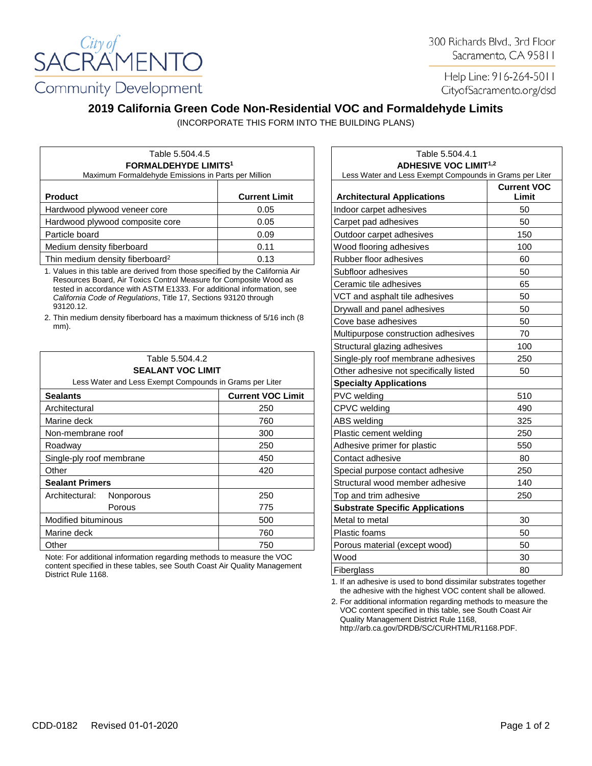

300 Richards Blvd., 3rd Floor Sacramento, CA 95811

Help Line: 916-264-5011 CityofSacramento.org/dsd

## **2019 California Green Code Non-Residential VOC and Formaldehyde Limits**

(INCORPORATE THIS FORM INTO THE BUILDING PLANS)

| Table 5.504.4.5<br><b>FORMALDEHYDE LIMITS1</b><br>Maximum Formaldehyde Emissions in Parts per Million |      | Table 5.504.4.1<br><b>ADHESIVE VOC LIMIT<sup>1,2</sup></b><br>Less Water and Less Exempt Compounds in Grams pe |     |
|-------------------------------------------------------------------------------------------------------|------|----------------------------------------------------------------------------------------------------------------|-----|
|                                                                                                       |      |                                                                                                                |     |
| Hardwood plywood veneer core                                                                          | 0.05 | Indoor carpet adhesives                                                                                        | 50  |
| Hardwood plywood composite core                                                                       | 0.05 | Carpet pad adhesives                                                                                           | 50  |
| Particle board                                                                                        | 0.09 | Outdoor carpet adhesives                                                                                       | 150 |
| Medium density fiberboard                                                                             | 0.11 | Wood flooring adhesives                                                                                        | 100 |
| Thin medium density fiberboard <sup>2</sup>                                                           | 0.13 | Rubber floor adhesives                                                                                         | 60  |

1. Values in this table are derived from those specified by the California Air Resources Board, Air Toxics Control Measure for Composite Wood as tested in accordance with ASTM E1333. For additional information, see *California Code of Regulations*, Title 17, Sections 93120 through 93120.12.

2. Thin medium density fiberboard has a maximum thickness of 5/16 inch (8 mm).

| Table 5.504.4.2<br><b>SEALANT VOC LIMIT</b><br>Less Water and Less Exempt Compounds in Grams per Liter |                          | Single-ply roof membrane adhesives     | 250 |
|--------------------------------------------------------------------------------------------------------|--------------------------|----------------------------------------|-----|
|                                                                                                        |                          | Other adhesive not specifically listed | 50  |
|                                                                                                        |                          | <b>Specialty Applications</b>          |     |
| <b>Sealants</b>                                                                                        | <b>Current VOC Limit</b> | <b>PVC</b> welding                     | 510 |
| Architectural                                                                                          | 250                      | CPVC welding                           | 490 |
| Marine deck                                                                                            | 760                      | ABS welding                            | 325 |
| Non-membrane roof                                                                                      | 300                      | Plastic cement welding                 | 250 |
| Roadway                                                                                                | 250                      | Adhesive primer for plastic            | 550 |
| Single-ply roof membrane                                                                               | 450                      | Contact adhesive                       | 80  |
| Other                                                                                                  | 420                      | Special purpose contact adhesive       | 250 |
| <b>Sealant Primers</b>                                                                                 |                          | Structural wood member adhesive        | 140 |
| Architectural:<br>Nonporous                                                                            | 250                      | Top and trim adhesive                  | 250 |
| Porous                                                                                                 | 775                      | <b>Substrate Specific Applications</b> |     |
| Modified bituminous                                                                                    | 500                      | Metal to metal                         | 30  |
| Marine deck                                                                                            | 760                      | Plastic foams                          | 50  |
| Other                                                                                                  | 750                      | Porous material (except wood)          | 50  |
|                                                                                                        |                          |                                        |     |

Note: For additional information regarding methods to measure the VOC content specified in these tables, see South Coast Air Quality Management District Rule 1168.

| Table 5.504.4.1                                         |                             |  |  |  |
|---------------------------------------------------------|-----------------------------|--|--|--|
| <b>ADHESIVE VOC LIMIT<sup>1,2</sup></b>                 |                             |  |  |  |
| Less Water and Less Exempt Compounds in Grams per Liter |                             |  |  |  |
| <b>Architectural Applications</b>                       | <b>Current VOC</b><br>Limit |  |  |  |
| Indoor carpet adhesives                                 | 50                          |  |  |  |
| Carpet pad adhesives                                    | 50                          |  |  |  |
| Outdoor carpet adhesives                                | 150                         |  |  |  |
| Wood flooring adhesives                                 | 100                         |  |  |  |
| Rubber floor adhesives                                  | 60                          |  |  |  |
| Subfloor adhesives                                      | 50                          |  |  |  |
| Ceramic tile adhesives                                  | 65                          |  |  |  |
| VCT and asphalt tile adhesives                          | 50                          |  |  |  |
| Drywall and panel adhesives                             | 50                          |  |  |  |
| Cove base adhesives                                     | 50                          |  |  |  |
| Multipurpose construction adhesives                     | 70                          |  |  |  |
| Structural glazing adhesives                            | 100                         |  |  |  |
| Single-ply roof membrane adhesives                      | 250                         |  |  |  |
| Other adhesive not specifically listed                  | 50                          |  |  |  |
| <b>Specialty Applications</b>                           |                             |  |  |  |
| PVC welding                                             | 510                         |  |  |  |
| CPVC welding                                            | 490                         |  |  |  |
| ABS welding                                             | 325                         |  |  |  |
| Plastic cement welding                                  | 250                         |  |  |  |
| Adhesive primer for plastic                             | 550                         |  |  |  |
| Contact adhesive                                        | 80                          |  |  |  |
| Special purpose contact adhesive                        | 250                         |  |  |  |
| Structural wood member adhesive                         | 140                         |  |  |  |
| Top and trim adhesive                                   | 250                         |  |  |  |
| <b>Substrate Specific Applications</b>                  |                             |  |  |  |
| Metal to metal                                          | 30                          |  |  |  |
| Plastic foams                                           | 50                          |  |  |  |
| Porous material (except wood)                           | 50                          |  |  |  |
| Wood                                                    | 30                          |  |  |  |
| Fiberglass                                              | 80                          |  |  |  |

1. If an adhesive is used to bond dissimilar substrates together the adhesive with the highest VOC content shall be allowed.

2. For additional information regarding methods to measure the VOC content specified in this table, see South Coast Air Quality Management District Rule 1168, http://arb.ca.gov/DRDB/SC/CURHTML/R1168.PDF.